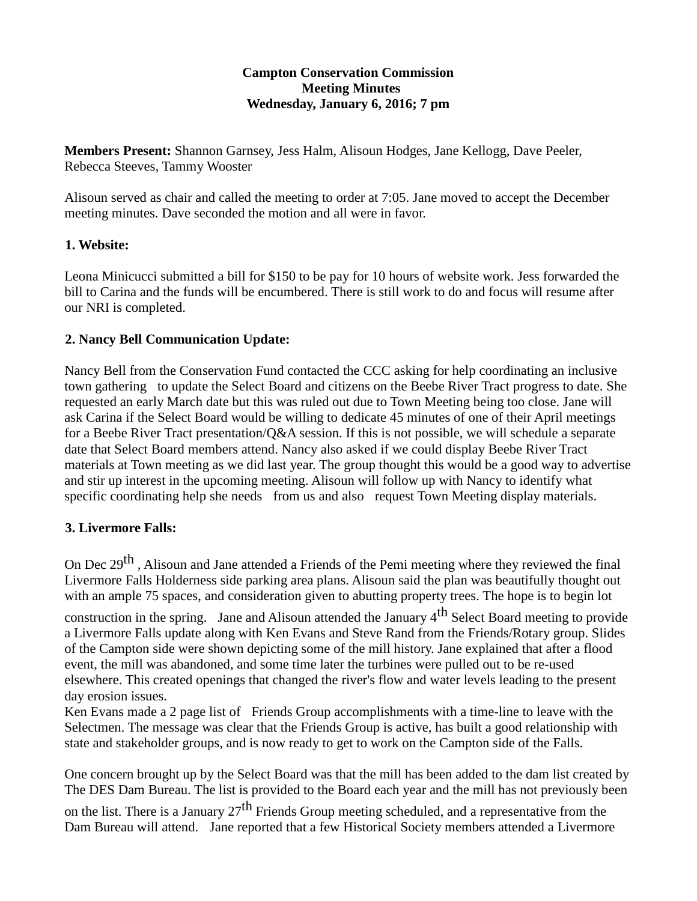#### **Campton Conservation Commission Meeting Minutes Wednesday, January 6, 2016; 7 pm**

**Members Present:** Shannon Garnsey, Jess Halm, Alisoun Hodges, Jane Kellogg, Dave Peeler, Rebecca Steeves, Tammy Wooster

Alisoun served as chair and called the meeting to order at 7:05. Jane moved to accept the December meeting minutes. Dave seconded the motion and all were in favor.

### **1. Website:**

Leona Minicucci submitted a bill for \$150 to be pay for 10 hours of website work. Jess forwarded the bill to Carina and the funds will be encumbered. There is still work to do and focus will resume after our NRI is completed.

### **2. Nancy Bell Communication Update:**

Nancy Bell from the Conservation Fund contacted the CCC asking for help coordinating an inclusive town gathering to update the Select Board and citizens on the Beebe River Tract progress to date. She requested an early March date but this was ruled out due to Town Meeting being too close. Jane will ask Carina if the Select Board would be willing to dedicate 45 minutes of one of their April meetings for a Beebe River Tract presentation/Q&A session. If this is not possible, we will schedule a separate date that Select Board members attend. Nancy also asked if we could display Beebe River Tract materials at Town meeting as we did last year. The group thought this would be a good way to advertise and stir up interest in the upcoming meeting. Alisoun will follow up with Nancy to identify what specific coordinating help she needs from us and also request Town Meeting display materials.

#### **3. Livermore Falls:**

On Dec 29<sup>th</sup>, Alisoun and Jane attended a Friends of the Pemi meeting where they reviewed the final Livermore Falls Holderness side parking area plans. Alisoun said the plan was beautifully thought out with an ample 75 spaces, and consideration given to abutting property trees. The hope is to begin lot

construction in the spring. Jane and Alisoun attended the January  $4<sup>th</sup>$  Select Board meeting to provide a Livermore Falls update along with Ken Evans and Steve Rand from the Friends/Rotary group. Slides of the Campton side were shown depicting some of the mill history. Jane explained that after a flood event, the mill was abandoned, and some time later the turbines were pulled out to be re-used elsewhere. This created openings that changed the river's flow and water levels leading to the present day erosion issues.

Ken Evans made a 2 page list of Friends Group accomplishments with a time-line to leave with the Selectmen. The message was clear that the Friends Group is active, has built a good relationship with state and stakeholder groups, and is now ready to get to work on the Campton side of the Falls.

One concern brought up by the Select Board was that the mill has been added to the dam list created by The DES Dam Bureau. The list is provided to the Board each year and the mill has not previously been

on the list. There is a January  $27<sup>th</sup>$  Friends Group meeting scheduled, and a representative from the Dam Bureau will attend. Jane reported that a few Historical Society members attended a Livermore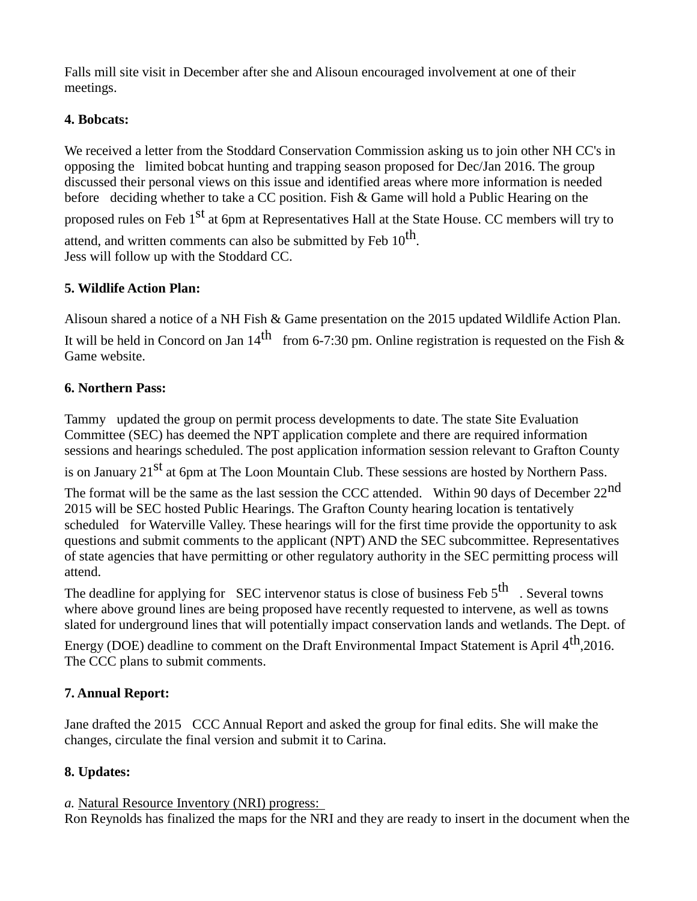Falls mill site visit in December after she and Alisoun encouraged involvement at one of their meetings.

## **4. Bobcats:**

We received a letter from the Stoddard Conservation Commission asking us to join other NH CC's in opposing the limited bobcat hunting and trapping season proposed for Dec/Jan 2016. The group discussed their personal views on this issue and identified areas where more information is needed before deciding whether to take a CC position. Fish & Game will hold a Public Hearing on the

proposed rules on Feb 1<sup>st</sup> at 6pm at Representatives Hall at the State House. CC members will try to

attend, and written comments can also be submitted by Feb  $10^{\text{th}}$ . Jess will follow up with the Stoddard CC.

# **5. Wildlife Action Plan:**

Alisoun shared a notice of a NH Fish & Game presentation on the 2015 updated Wildlife Action Plan.

It will be held in Concord on Jan 14<sup>th</sup> from 6-7:30 pm. Online registration is requested on the Fish & Game website.

# **6. Northern Pass:**

Tammy updated the group on permit process developments to date. The state Site Evaluation Committee (SEC) has deemed the NPT application complete and there are required information sessions and hearings scheduled. The post application information session relevant to Grafton County

is on January  $21<sup>st</sup>$  at 6pm at The Loon Mountain Club. These sessions are hosted by Northern Pass.

The format will be the same as the last session the CCC attended. Within 90 days of December  $22<sup>nd</sup>$ 2015 will be SEC hosted Public Hearings. The Grafton County hearing location is tentatively scheduled for Waterville Valley. These hearings will for the first time provide the opportunity to ask questions and submit comments to the applicant (NPT) AND the SEC subcommittee. Representatives of state agencies that have permitting or other regulatory authority in the SEC permitting process will attend.

The deadline for applying for SEC intervenor status is close of business Feb  $5<sup>th</sup>$ . Several towns where above ground lines are being proposed have recently requested to intervene, as well as towns slated for underground lines that will potentially impact conservation lands and wetlands. The Dept. of

Energy (DOE) deadline to comment on the Draft Environmental Impact Statement is April 4<sup>th</sup>,2016. The CCC plans to submit comments.

# **7. Annual Report:**

Jane drafted the 2015 CCC Annual Report and asked the group for final edits. She will make the changes, circulate the final version and submit it to Carina.

# **8. Updates:**

*a.* Natural Resource Inventory (NRI) progress:

Ron Reynolds has finalized the maps for the NRI and they are ready to insert in the document when the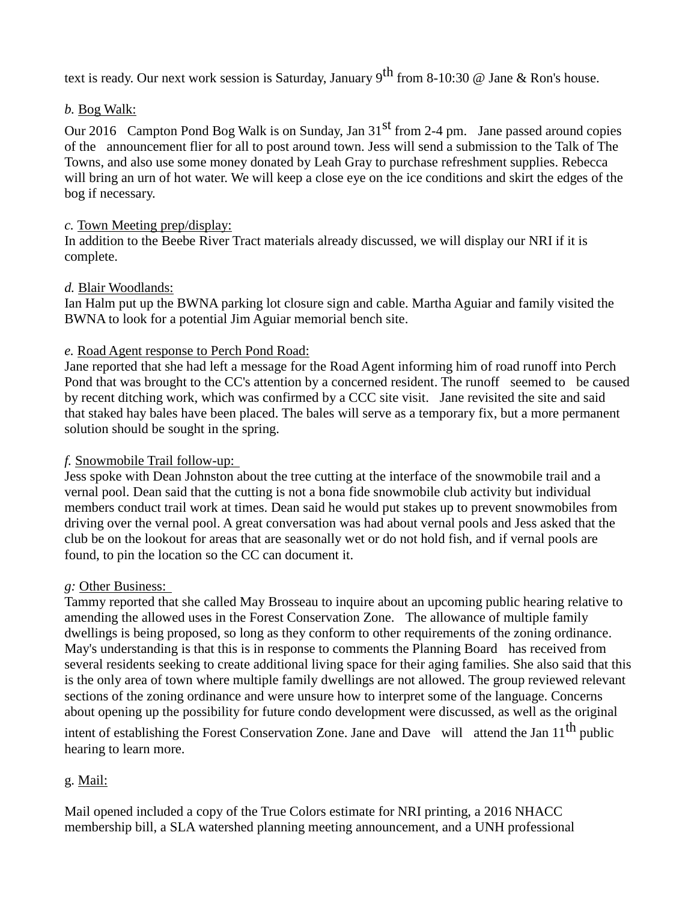text is ready. Our next work session is Saturday, January 9<sup>th</sup> from 8-10:30 @ Jane & Ron's house.

### *b.* Bog Walk:

Our 2016 Campton Pond Bog Walk is on Sunday, Jan  $31<sup>st</sup>$  from 2-4 pm. Jane passed around copies of the announcement flier for all to post around town. Jess will send a submission to the Talk of The Towns, and also use some money donated by Leah Gray to purchase refreshment supplies. Rebecca will bring an urn of hot water. We will keep a close eye on the ice conditions and skirt the edges of the bog if necessary.

### *c.* Town Meeting prep/display:

In addition to the Beebe River Tract materials already discussed, we will display our NRI if it is complete.

### *d.* Blair Woodlands:

Ian Halm put up the BWNA parking lot closure sign and cable. Martha Aguiar and family visited the BWNA to look for a potential Jim Aguiar memorial bench site.

## *e.* Road Agent response to Perch Pond Road:

Jane reported that she had left a message for the Road Agent informing him of road runoff into Perch Pond that was brought to the CC's attention by a concerned resident. The runoff seemed to be caused by recent ditching work, which was confirmed by a CCC site visit. Jane revisited the site and said that staked hay bales have been placed. The bales will serve as a temporary fix, but a more permanent solution should be sought in the spring.

## *f.* Snowmobile Trail follow-up:

Jess spoke with Dean Johnston about the tree cutting at the interface of the snowmobile trail and a vernal pool. Dean said that the cutting is not a bona fide snowmobile club activity but individual members conduct trail work at times. Dean said he would put stakes up to prevent snowmobiles from driving over the vernal pool. A great conversation was had about vernal pools and Jess asked that the club be on the lookout for areas that are seasonally wet or do not hold fish, and if vernal pools are found, to pin the location so the CC can document it.

## *g:* Other Business:

Tammy reported that she called May Brosseau to inquire about an upcoming public hearing relative to amending the allowed uses in the Forest Conservation Zone. The allowance of multiple family dwellings is being proposed, so long as they conform to other requirements of the zoning ordinance. May's understanding is that this is in response to comments the Planning Board has received from several residents seeking to create additional living space for their aging families. She also said that this is the only area of town where multiple family dwellings are not allowed. The group reviewed relevant sections of the zoning ordinance and were unsure how to interpret some of the language. Concerns about opening up the possibility for future condo development were discussed, as well as the original

intent of establishing the Forest Conservation Zone. Jane and Dave will attend the Jan  $11^{th}$  public hearing to learn more.

# g. Mail:

Mail opened included a copy of the True Colors estimate for NRI printing, a 2016 NHACC membership bill, a SLA watershed planning meeting announcement, and a UNH professional